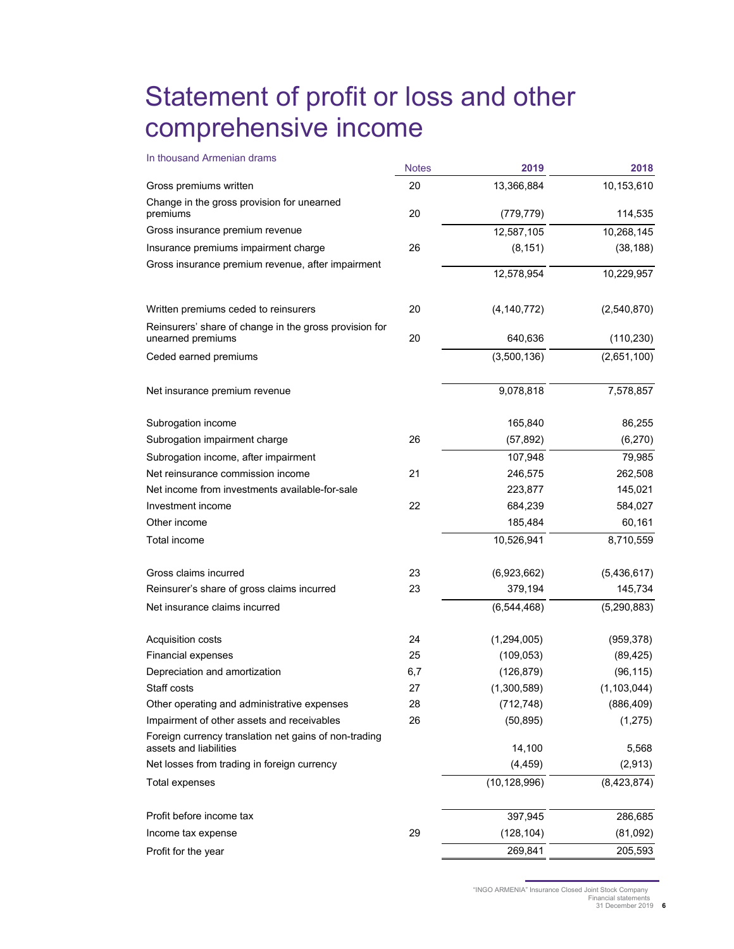## Statement of profit or loss and other comprehensive income

| In thousand Armenian drams                                                      | <b>Notes</b> | 2019           | 2018          |
|---------------------------------------------------------------------------------|--------------|----------------|---------------|
| Gross premiums written                                                          | 20           | 13,366,884     | 10,153,610    |
| Change in the gross provision for unearned                                      |              |                |               |
| premiums                                                                        | 20           | (779, 779)     | 114,535       |
| Gross insurance premium revenue                                                 |              | 12,587,105     | 10,268,145    |
| Insurance premiums impairment charge                                            | 26           | (8, 151)       | (38, 188)     |
| Gross insurance premium revenue, after impairment                               |              | 12,578,954     | 10,229,957    |
| Written premiums ceded to reinsurers                                            | 20           | (4, 140, 772)  | (2,540,870)   |
| Reinsurers' share of change in the gross provision for<br>unearned premiums     | 20           | 640,636        | (110, 230)    |
| Ceded earned premiums                                                           |              | (3,500,136)    | (2,651,100)   |
| Net insurance premium revenue                                                   |              | 9,078,818      | 7,578,857     |
| Subrogation income                                                              |              | 165,840        | 86,255        |
| Subrogation impairment charge                                                   | 26           | (57, 892)      | (6,270)       |
| Subrogation income, after impairment                                            |              | 107,948        | 79,985        |
| Net reinsurance commission income                                               | 21           | 246,575        | 262,508       |
| Net income from investments available-for-sale                                  |              | 223,877        | 145,021       |
| Investment income                                                               | 22           | 684,239        | 584,027       |
| Other income                                                                    |              | 185,484        | 60,161        |
| Total income                                                                    |              | 10,526,941     | 8,710,559     |
| Gross claims incurred                                                           | 23           | (6,923,662)    | (5,436,617)   |
| Reinsurer's share of gross claims incurred                                      | 23           | 379,194        | 145,734       |
| Net insurance claims incurred                                                   |              | (6,544,468)    | (5, 290, 883) |
| Acquisition costs                                                               | 24           | (1,294,005)    | (959, 378)    |
| <b>Financial expenses</b>                                                       | 25           | (109, 053)     | (89, 425)     |
| Depreciation and amortization                                                   | 6,7          | (126, 879)     | (96, 115)     |
| Staff costs                                                                     | 27           | (1,300,589)    | (1, 103, 044) |
| Other operating and administrative expenses                                     | 28           | (712, 748)     | (886, 409)    |
| Impairment of other assets and receivables                                      | 26           | (50, 895)      | (1, 275)      |
| Foreign currency translation net gains of non-trading<br>assets and liabilities |              | 14,100         | 5,568         |
| Net losses from trading in foreign currency                                     |              | (4, 459)       | (2, 913)      |
| Total expenses                                                                  |              | (10, 128, 996) | (8,423,874)   |
| Profit before income tax                                                        |              | 397,945        | 286,685       |
| Income tax expense                                                              | 29           | (128, 104)     | (81,092)      |
| Profit for the year                                                             |              | 269,841        | 205,593       |

"INGO ARMENIA" Insurance Closed Joint Stock Company

Financial statements 31 December 2019 **6**